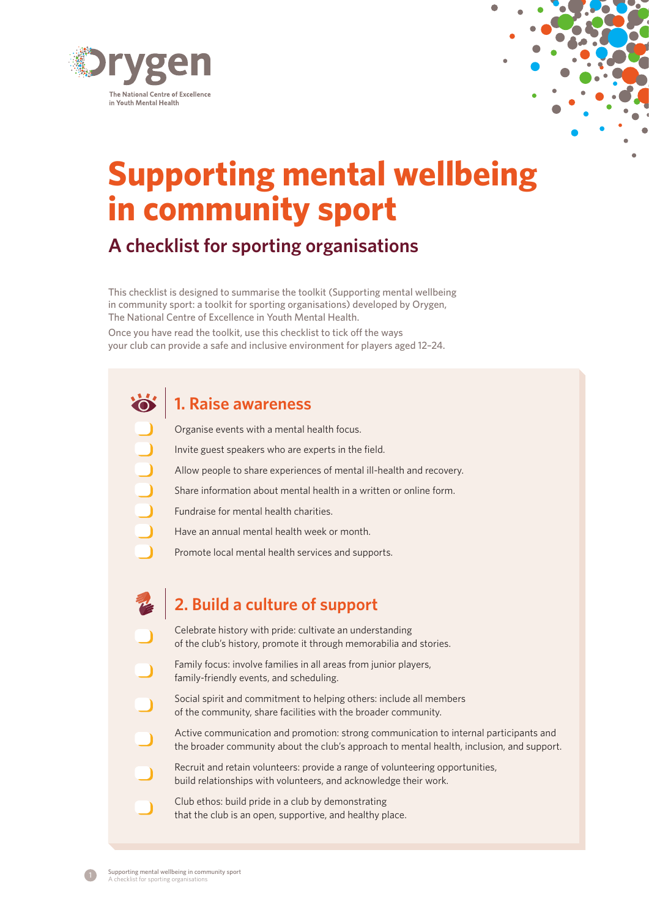

# **Supporting mental wellbeing in community sport**

# **A checklist for sporting organisations**

This checklist is designed to summarise the toolkit (Supporting mental wellbeing in community sport: a toolkit for sporting organisations) developed by Orygen, The National Centre of Excellence in Youth Mental Health.

Once you have read the toolkit, use this checklist to tick off the ways your club can provide a safe and inclusive environment for players aged 12–24.

### **1. Raise awareness**

Organise events with a mental health focus.

Invite guest speakers who are experts in the field.

- Allow people to share experiences of mental ill-health and recovery.
- Share information about mental health in a written or online form.
- Fundraise for mental health charities.
- Have an annual mental health week or month.
- Promote local mental health services and supports.

### **2. Build a culture of support**

- Celebrate history with pride: cultivate an understanding of the club's history, promote it through memorabilia and stories.
- Family focus: involve families in all areas from junior players, family-friendly events, and scheduling.
- Social spirit and commitment to helping others: include all members of the community, share facilities with the broader community.
- Active communication and promotion: strong communication to internal participants and the broader community about the club's approach to mental health, inclusion, and support.
- Recruit and retain volunteers: provide a range of volunteering opportunities, build relationships with volunteers, and acknowledge their work.
- Club ethos: build pride in a club by demonstrating that the club is an open, supportive, and healthy place.

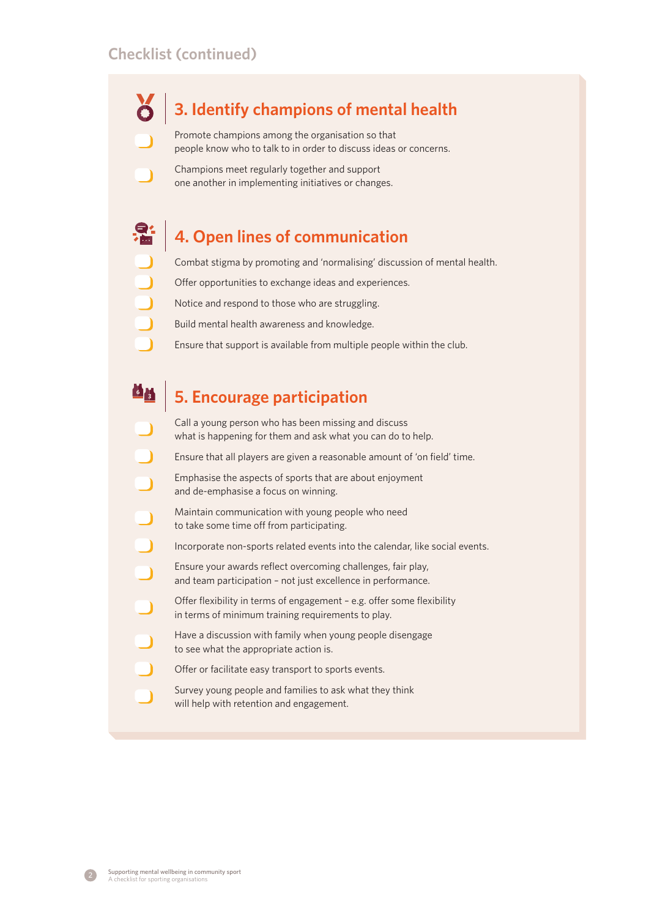## **3. Identify champions of mental health**

Promote champions among the organisation so that people know who to talk to in order to discuss ideas or concerns.

Champions meet regularly together and support one another in implementing initiatives or changes.

### **4. Open lines of communication**

Combat stigma by promoting and 'normalising' discussion of mental health.

- Offer opportunities to exchange ideas and experiences.
- Notice and respond to those who are struggling.
- Build mental health awareness and knowledge.
	- Ensure that support is available from multiple people within the club.

#### 64 **5. Encourage participation**

- Call a young person who has been missing and discuss what is happening for them and ask what you can do to help.
- Ensure that all players are given a reasonable amount of 'on field' time.
	- Emphasise the aspects of sports that are about enjoyment and de-emphasise a focus on winning.
	- Maintain communication with young people who need to take some time off from participating.
	- Incorporate non-sports related events into the calendar, like social events.
		- Ensure your awards reflect overcoming challenges, fair play, and team participation – not just excellence in performance.
	- Offer flexibility in terms of engagement e.g. offer some flexibility in terms of minimum training requirements to play.
	- Have a discussion with family when young people disengage to see what the appropriate action is.
	- Offer or facilitate easy transport to sports events.
	- Survey young people and families to ask what they think will help with retention and engagement.